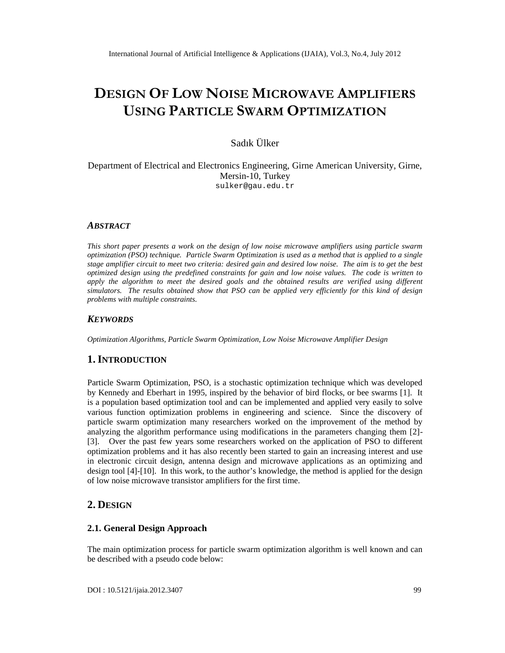# DESIGNOFLOW NOISEMICROW A SAMEPLIFIERS USINGPARTICLEVARMOPTIMIZATION

# Sad€k •lker

#### Department of Electrical and Electronics Engineering, Girne American University, Girne, Mersin-10, Turkey [sulker@gau.edu.tr](mailto:sulker@gau.edu)

### ABSTRACT

This short papepresents a work on the design of low noise microwave amplifiers using particle swarm optimization (PSO) technique. Particle Swarm Optimization is used as a method that is applied to a single stage amplifier circuit to meet two riteria: desired gain and desired low noise. The aim is to get the best optimized design using the predefined constraints for gain and low noise values. The code is written to apply the algorithm to meet the desired goals and the obtained results eatied using different simulators. The results obtained show that PSO can be applied very efficiently for this kind of design problems with multiple constraints.

### **KEYWORDS**

Optimization Algorithms, Particle Swarm Optimization, Low Noise Microwave Aerplibisign

### 1.I NTRODUCTION

Particle Swarm Optimization, PSO, is a stochastic optimization technique which was developed by Kennedy and Eberhart in 1995, inspired by the behavior of bird flocks, or bee swarms [1]. It is a population based optimization and can be implemented and applied very easily to solve various function optimization problems in engineering and science. Since the discovery of particle swarm optimization many researchers worked on the improvement of the method by analyzing the adorithm performance using modifications in the parameters changing them [2] [3]. Over the past few years some researchers worked on the application of PSO to different optimization problems and it has also recently been started to gain an increasing ante use in electronic circuit design, antenna design and microwave applications as an optimizing and design tool [4][10]. In this work, to the author knowledge, the method is applied for the design of low noise microwave transistor amplifiers the first time.

# 2.DESIGN

### 2.1. General Design Approach

The main optimization process for particle swarm optimization algorithm is well known and can be described with a seudo code blow: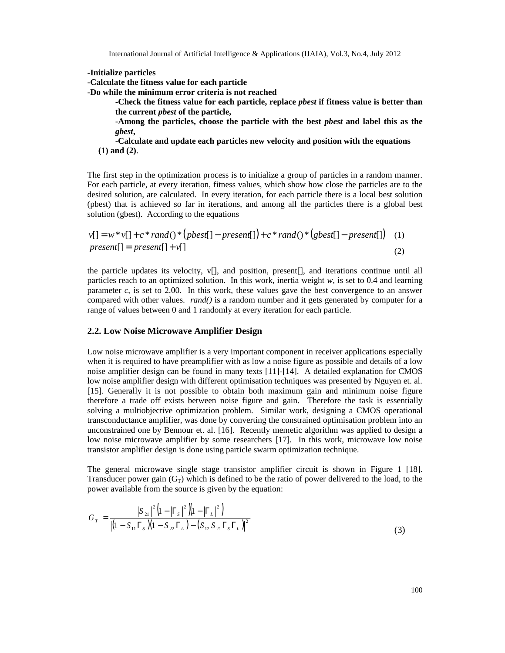International Journal of Artificial Intelligence & Applications (IJAIA), Vol.3, No.4, July 2012

**-Initialize particles**

**-Calculate the fitness value for each particle**

**-Do while the minimum error criteria is not reached**

**-Check the fitness value for each particle, replace** *pbest* **if fitness value is better than the current** *pbest* **of the particle,**

**-Among the particles, choose the particle with the best** *pbest* **and label this as the** *gbest***,**

-**Calculate and update each particles new velocity and position with the equations (1) and (2)**.

The first step in the optimization process is to initialize a group of particles in a random manner. For each particle, at every iteration, fitness values, which show how close the particles are to the desired solution, are calculated. In every iteration, for each particle there is a local best solution (pbest) that is achieved so far in iterations, and among all the particles there is a global best solution (gbest). According to the equations

$$
v[] = w * v[] + c * rand() * (pbest[] - present[]) + c * rand() * (gbest[] - present[]) \quad (1)
$$
  
present[] = present[] + v[] \qquad (2)

the particle updates its velocity, v[], and position, present[], and iterations continue until all particles reach to an optimized solution. In this work, inertia weight *w*, is set to 0.4 and learning parameter  $c$ , is set to 2.00. In this work, these values gave the best convergence to an answer compared with other values. *rand()* is a random number and it gets generated by computer for a range of values between 0 and 1 randomly at every iteration for each particle.

#### **2.2. Low Noise Microwave Amplifier Design**

Low noise microwave amplifier is a very important component in receiver applications especially when it is required to have preamplifier with as low a noise figure as possible and details of a low noise amplifier design can be found in many texts [11]-[14]. A detailed explanation for CMOS low noise amplifier design with different optimisation techniques was presented by Nguyen et. al. [15]. Generally it is not possible to obtain both maximum gain and minimum noise figure therefore a trade off exists between noise figure and gain. Therefore the task is essentially solving a multiobjective optimization problem. Similar work, designing a CMOS operational transconductance amplifier, was done by converting the constrained optimisation problem into an unconstrained one by Bennour et. al. [16]. Recently memetic algorithm was applied to design a low noise microwave amplifier by some researchers [17]. In this work, microwave low noise transistor amplifier design is done using particle swarm optimization technique.

The general microwave single stage transistor amplifier circuit is shown in Figure 1 [18]. Transducer power gain  $(G_T)$  which is defined to be the ratio of power delivered to the load, to the power available from the source is given by the equation:

$$
G_T = \frac{|S_{21}|^2 (1 - |\Gamma_s|^2)(1 - |\Gamma_L|^2)}{|(1 - S_{11} \Gamma_s)(1 - S_{22} \Gamma_L) - (S_{12} S_{21} \Gamma_s \Gamma_L)|^2}
$$
(3)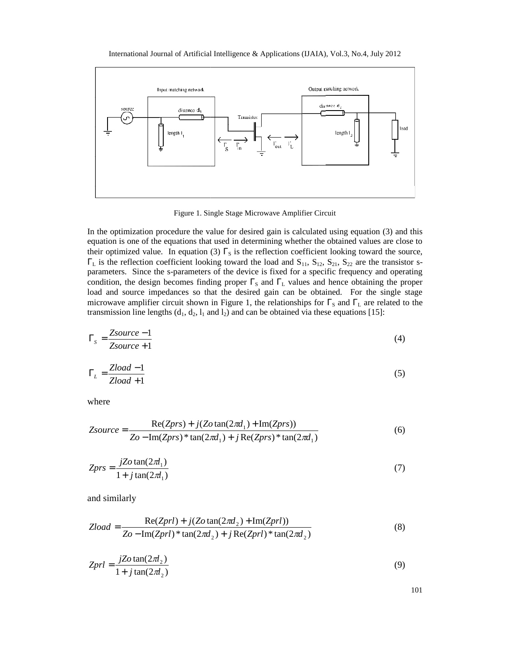

Figure 1. Single Stage Microwave Amplifier Circuit

In the optimization procedure the value for desired gain is calculated using equation (3) and this equation is one of the equations that used in determining whether the obtained values are close to their optimized value. In equation (3)  $\Gamma_s$  is the reflection coefficient looking toward the source,  $\Gamma$ <sub>L</sub> is the reflection coefficient looking toward the load and S<sub>11</sub>, S<sub>12</sub>, S<sub>21</sub>, S<sub>22</sub> are the transistor sparameters. Since the s-parameters of the device is fixed for a specific frequency and operating condition, the design becomes finding proper  $\Gamma_{\rm S}$  and  $\Gamma_{\rm L}$  values and hence obtaining the proper load and source impedances so that the desired gain can be obtained. For the single stage microwave amplifier circuit shown in Figure 1, the relationships for  $\Gamma_{\rm S}$  and  $\Gamma_{\rm L}$  are related to the transmission line lengths  $(d_1, d_2, l_1 \text{ and } l_2)$  and can be obtained via these equations [15]:

$$
\Gamma_s = \frac{Zsource - 1}{Zsource + 1} \tag{4}
$$

$$
\Gamma_L = \frac{Zload - 1}{Zload + 1} \tag{5}
$$

where

$$
Zsource = \frac{\text{Re}(Zprs) + j(Zo \tan(2\pi d_1) + \text{Im}(Zprs))}{Zo - \text{Im}(Zprs) * \tan(2\pi d_1) + j \text{Re}(Zprs) * \tan(2\pi d_1)}
$$
(6)

$$
Zprs = \frac{jZo\tan(2\pi l_1)}{1 + j\tan(2\pi l_1)}\tag{7}
$$

and similarly

$$
Zload = \frac{\text{Re}(Zprl) + j(Zo \tan(2\pi d_2) + \text{Im}(Zprl))}{Zo - \text{Im}(Zprl) * \tan(2\pi d_2) + j \text{Re}(Zprl) * \tan(2\pi d_2)}
$$
(8)

$$
Zprl = \frac{jZo\tan(2\pi l_2)}{1+j\tan(2\pi l_2)}\tag{9}
$$

101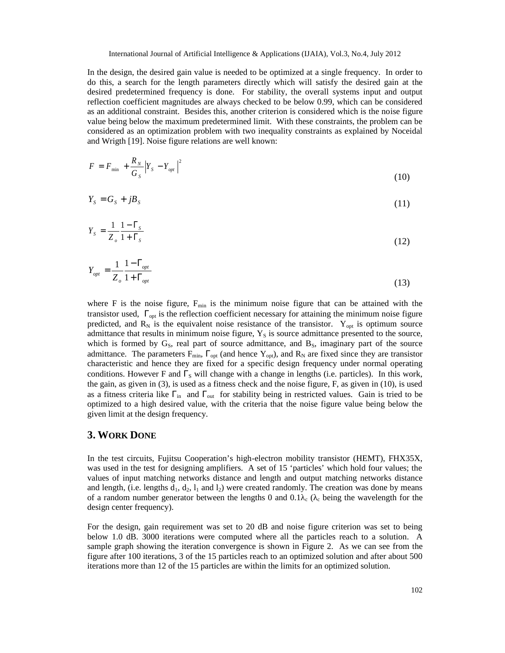In the design, the desired gain value is needed to be optimized at a single frequency. In order to do this, a search for the length parameters directly which will satisfy the desired gain at the desired predetermined frequency is done. For stability, the overall systems input and output reflection coefficient magnitudes are always checked to be below 0.99, which can be considered as an additional constraint. Besides this, another criterion is considered which is the noise figure value being below the maximum predetermined limit. With these constraints, the problem can be considered as an optimization problem with two inequality constraints as explained by Noceidal and Wrigth [19]. Noise figure relations are well known:

$$
F = F_{\min} + \frac{R_N}{G_S} |Y_S - Y_{opt}|^2
$$
 (10)

$$
Y_s = G_s + jB_s \tag{11}
$$

$$
Y_s = \frac{1}{Z_o} \frac{1 - \Gamma_s}{1 + \Gamma_s} \tag{12}
$$

$$
Y_{opt} = \frac{1}{Z_o} \frac{1 - \Gamma_{opt}}{1 + \Gamma_{opt}} \tag{13}
$$

where F is the noise figure,  $F_{min}$  is the minimum noise figure that can be attained with the transistor used,  $\Gamma_{opt}$  is the reflection coefficient necessary for attaining the minimum noise figure predicted, and  $R_N$  is the equivalent noise resistance of the transistor. Y<sub>opt</sub> is optimum source admittance that results in minimum noise figure,  $Y<sub>S</sub>$  is source admittance presented to the source, which is formed by  $G_s$ , real part of source admittance, and  $B_s$ , imaginary part of the source admittance. The parameters  $F_{min}$ ,  $\Gamma_{opt}$  (and hence  $Y_{opt}$ ), and  $R_N$  are fixed since they are transistor characteristic and hence they are fixed for a specific design frequency under normal operating conditions. However F and  $\Gamma_{\rm S}$  will change with a change in lengths (i.e. particles). In this work, the gain, as given in (3), is used as a fitness check and the noise figure, F, as given in (10), is used as a fitness criteria like  $\Gamma_{\rm in}$  and  $\Gamma_{\rm out}$  for stability being in restricted values. Gain is tried to be optimized to a high desired value, with the criteria that the noise figure value being below the given limit at the design frequency.

#### **3. WORK DONE**

In the test circuits, Fujitsu Cooperation's high-electron mobility transistor (HEMT), FHX35X, was used in the test for designing amplifiers. A set of 15 'particles' which hold four values; the values of input matching networks distance and length and output matching networks distance and length, (i.e. lengths  $d_1$ ,  $d_2$ ,  $l_1$  and  $l_2$ ) were created randomly. The creation was done by means of a random number generator between the lengths 0 and 0.1  $\epsilon$  ( $\epsilon$  being the wavelength for the design center frequency).

For the design, gain requirement was set to 20 dB and noise figure criterion was set to being below 1.0 dB. 3000 iterations were computed where all the particles reach to a solution. A sample graph showing the iteration convergence is shown in Figure 2. As we can see from the figure after 100 iterations, 3 of the 15 particles reach to an optimized solution and after about 500 iterations more than 12 of the 15 particles are within the limits for an optimized solution.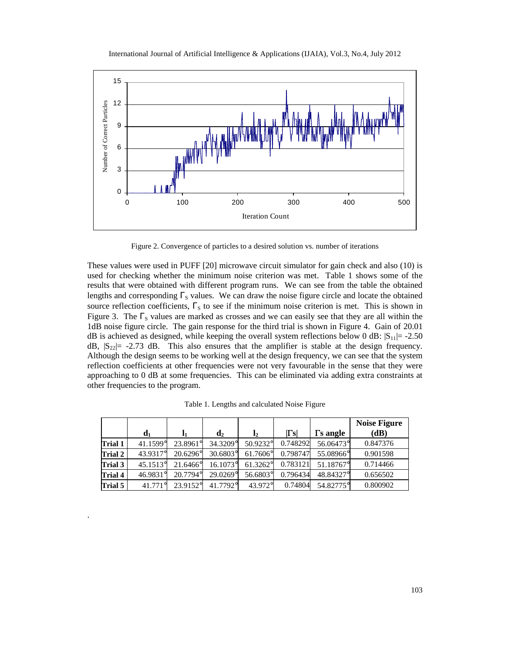

Figure 2. Convergence of particles to a desired solution vs. number of iterations

These values were used in PUFF [20] microwave circuit simulator for gain check and also (10) is used for checking whether the minimum noise criterion was met. Table 1 shows some of the results that were obtained with different program runs. We can see from the table the obtained lengths and corresponding  $\Gamma_s$  values. We can draw the noise figure circle and locate the obtained source reflection coefficients,  $\Gamma_s$  to see if the minimum noise criterion is met. This is shown in Figure 3. The  $\Gamma$ <sub>S</sub> values are marked as crosses and we can easily see that they are all within the 1dB noise figure circle. The gain response for the third trial is shown in Figure 4. Gain of 20.01 dB is achieved as designed, while keeping the overall system reflections below 0 dB:  $|S_{11}| = -2.50$ dB,  $|S_{22}|$  - 2.73 dB. This also ensures that the amplifier is stable at the design frequency. Although the design seems to be working well at the design frequency, we can see that the system reflection coefficients at other frequencies were not very favourable in the sense that they were approaching to 0 dB at some frequencies. This can be eliminated via adding extra constraints at other frequencies to the program.

|         |                   |                   |                |                |                |                  | <b>Noise Figure</b> |
|---------|-------------------|-------------------|----------------|----------------|----------------|------------------|---------------------|
|         | $\mathbf{d}_1$    | 11                | $\mathbf{d}_2$ | $\mathbf{l}_2$ | $ \Gamma_{S} $ | $\Gamma$ s angle | (dB)                |
| Trial 1 | 41.1599°          | 23.8961°          | 34.3209°       | 50.9232°       | 0.748292       | 56.06473°        | 0.847376            |
| Trial 2 | 43.9317°          | $20.6296^{\circ}$ | 30.6803°       | 61.7606°       | 0.798747       | 55.08966°        | 0.901598            |
| Trial 3 | $45.1513^{\circ}$ | 21.6466°          | 16.1073°       | 61.3262°       | 0.783121       | 51.18767°        | 0.714466            |
| Trial 4 | 46.9831°          | 20.7794°          | 29.0269°       | 56.6803°       | 0.796434       | 48.84327°        | 0.656502            |
| Trial 5 | $41.771^{\circ}$  | 23.9152°          | 41.7792°       | 43.972°        | 0.74804        | 54.82775°        | 0.800902            |

.

Table 1. Lengths and calculated Noise Figure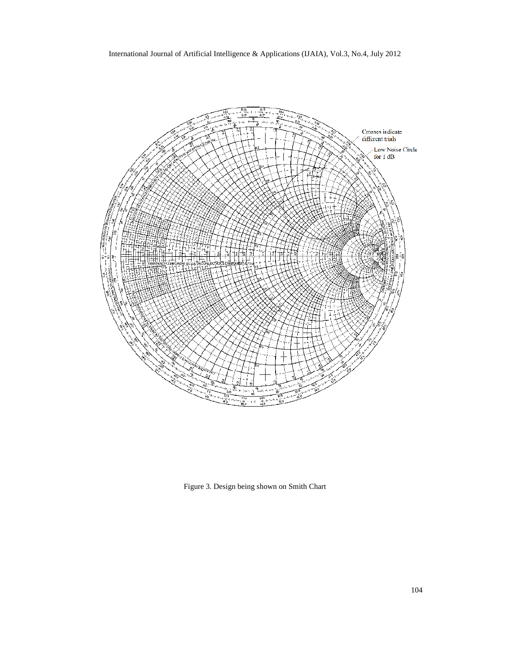

Figure 3. Design being shown on Smith Chart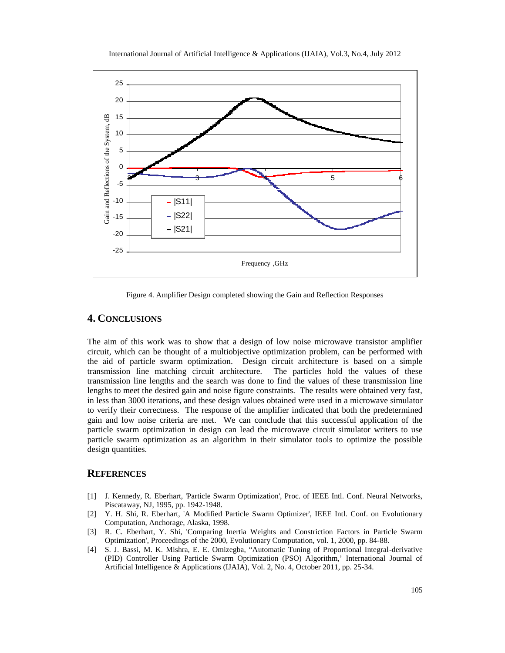

International Journal of Artificial Intelligence & Applications (IJAIA), Vol.3, No.4, July 2012

Figure 4. Amplifier Design completed showing the Gain and Reflection Responses

# **4. CONCLUSIONS**

The aim of this work was to show that a design of low noise microwave transistor amplifier circuit, which can be thought of a multiobjective optimization problem, can be performed with the aid of particle swarm optimization. Design circuit architecture is based on a simple transmission line matching circuit architecture. The particles hold the values of these transmission line lengths and the search was done to find the values of these transmission line lengths to meet the desired gain and noise figure constraints. The results were obtained very fast, in less than 3000 iterations, and these design values obtained were used in a microwave simulator to verify their correctness. The response of the amplifier indicated that both the predetermined gain and low noise criteria are met. We can conclude that this successful application of the particle swarm optimization in design can lead the microwave circuit simulator writers to use particle swarm optimization as an algorithm in their simulator tools to optimize the possible design quantities.

### **REFERENCES**

- [1] J. Kennedy, R. Eberhart, 'Particle Swarm Optimization', Proc. of IEEE Intl. Conf. Neural Networks, Piscataway, NJ, 1995, pp. 1942-1948.
- [2] Y. H. Shi, R. Eberhart, 'A Modified Particle Swarm Optimizer', IEEE Intl. Conf. on Evolutionary Computation, Anchorage, Alaska, 1998.
- [3] R. C. Eberhart, Y. Shi, 'Comparing Inertia Weights and Constriction Factors in Particle Swarm Optimization', Proceedings of the 2000, Evolutionary Computation, vol. 1, 2000, pp. 84-88.
- [4] S. J. Bassi, M. K. Mishra, E. E. Omizegba, "Automatic Tuning of Proportional Integral-derivative (PID) Controller Using Particle Swarm Optimization (PSO) Algorithm,' International Journal of Artificial Intelligence & Applications (IJAIA), Vol. 2, No. 4, October 2011, pp. 25-34.